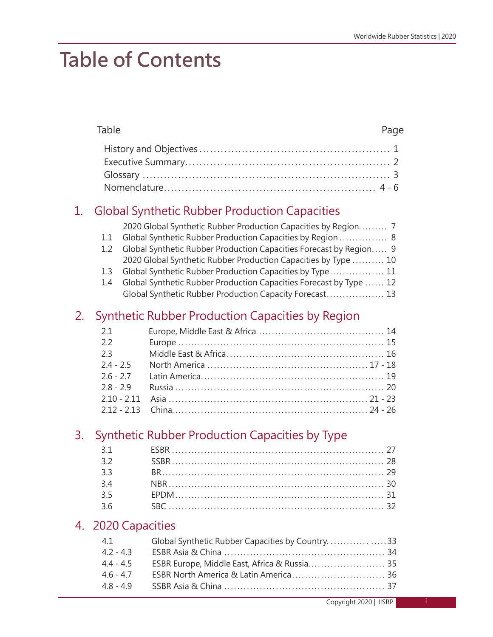# **Table of Contents**

|    | Table                                                                                            |                                                                                                                                                                                                                                                                                                                                                                                                                                                                | Page |
|----|--------------------------------------------------------------------------------------------------|----------------------------------------------------------------------------------------------------------------------------------------------------------------------------------------------------------------------------------------------------------------------------------------------------------------------------------------------------------------------------------------------------------------------------------------------------------------|------|
|    |                                                                                                  |                                                                                                                                                                                                                                                                                                                                                                                                                                                                |      |
| 1. | 1.1<br>1.2<br>1.3<br>1.4                                                                         | <b>Global Synthetic Rubber Production Capacities</b><br>2020 Global Synthetic Rubber Production Capacities by Region 7<br>Global Synthetic Rubber Production Capacities by Region  8<br>Global Synthetic Rubber Production Capacities Forecast by Region 9<br>2020 Global Synthetic Rubber Production Capacities by Type  10<br>Global Synthetic Rubber Production Capacities by Type 11<br>Global Synthetic Rubber Production Capacities Forecast by Type  12 |      |
|    |                                                                                                  | Global Synthetic Rubber Production Capacity Forecast 13                                                                                                                                                                                                                                                                                                                                                                                                        |      |
| 2. | 2.1<br>2.2<br>2.3<br>$2.4 - 2.5$<br>$2.6 - 2.7$<br>$2.8 - 2.9$<br>$2.10 - 2.11$<br>$2.12 - 2.13$ | Synthetic Rubber Production Capacities by Region                                                                                                                                                                                                                                                                                                                                                                                                               |      |
| 3. | 3.1<br>3.2<br>3.3<br>3.4<br>3.5<br>3.6                                                           | Synthetic Rubber Production Capacities by Type                                                                                                                                                                                                                                                                                                                                                                                                                 |      |
| 4. | 2020 Capacities<br>4.1<br>$4.2 - 4.3$<br>$4.4 - 4.5$<br>$4.6 - 4.7$<br>$4.8 - 4.9$               | Global Synthetic Rubber Capacities by Country. 33<br>ESBR Europe, Middle East, Africa & Russia 35                                                                                                                                                                                                                                                                                                                                                              |      |